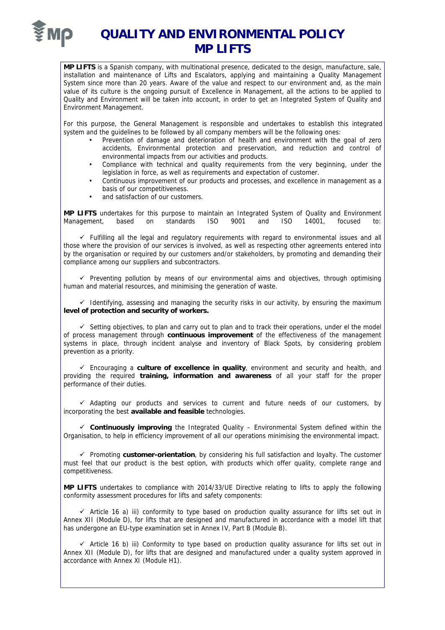

## **QUALITY AND ENVIRONMENTAL POLICY MP LIFTS**

**MP LIFTS** is a Spanish company, with multinational presence, dedicated to the design, manufacture, sale, installation and maintenance of Lifts and Escalators, applying and maintaining a Quality Management System since more than 20 years. Aware of the value and respect to our environment and, as the main value of its culture is the ongoing pursuit of Excellence in Management, all the actions to be applied to Quality and Environment will be taken into account, in order to get an Integrated System of Quality and Environment Management.

For this purpose, the General Management is responsible and undertakes to establish this integrated system and the guidelines to be followed by all company members will be the following ones:

- Prevention of damage and deterioration of health and environment with the goal of zero accidents, Environmental protection and preservation, and reduction and control of environmental impacts from our activities and products.
- Compliance with technical and quality requirements from the very beginning, under the legislation in force, as well as requirements and expectation of customer.
- Continuous improvement of our products and processes, and excellence in management as a basis of our competitiveness.
- and satisfaction of our customers.

**MP LIFTS** undertakes for this purpose to maintain an Integrated System of Quality and Environment Management, based on standards ISO 9001 and ISO 14001, focused to:

 $\checkmark$  Fulfilling all the legal and regulatory regulirements with regard to environmental issues and all those where the provision of our services is involved, as well as respecting other agreements entered into by the organisation or required by our customers and/or stakeholders, by promoting and demanding their compliance among our suppliers and subcontractors.

 $\checkmark$  Preventing pollution by means of our environmental aims and objectives, through optimising human and material resources, and minimising the generation of waste.

 $\checkmark$  Identifying, assessing and managing the security risks in our activity, by ensuring the maximum **level of protection and security of workers.**

 $\checkmark$  Setting objectives, to plan and carry out to plan and to track their operations, under el the model of process management through **continuous improvement** of the effectiveness of the management systems in place, through incident analyse and inventory of Black Spots, by considering problem prevention as a priority.

 Encouraging a **culture of excellence in quality**, environment and security and health, and providing the required **training, information and awareness** of all your staff for the proper performance of their duties.

 $\checkmark$  Adapting our products and services to current and future needs of our customers, by incorporating the best **available and feasible** technologies.

 **Continuously improving** the Integrated Quality – Environmental System defined within the Organisation, to help in efficiency improvement of all our operations minimising the environmental impact.

 Promoting **customer-orientation**, by considering his full satisfaction and loyalty. The customer must feel that our product is the best option, with products which offer quality, complete range and competitiveness.

**MP LIFTS** undertakes to compliance with 2014/33/UE Directive relating to lifts to apply the following conformity assessment procedures for lifts and safety components:

 $\checkmark$  Article 16 a) iii) conformity to type based on production quality assurance for lifts set out in Annex XII (Module D), for lifts that are designed and manufactured in accordance with a model lift that has undergone an EU-type examination set in Annex IV, Part B (Module B).

 $\checkmark$  Article 16 b) iii) Conformity to type based on production quality assurance for lifts set out in Annex XII (Module D), for lifts that are designed and manufactured under a quality system approved in accordance with Annex XI (Module H1).